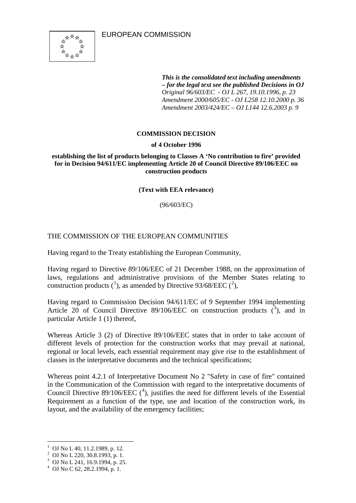

*This is the consolidated text including amendments – for the legal text see the published Decisions in OJ Original 96/603/EC - OJ L 267, 19.10.1996, p. 23 Amendment 2000/605/EC - OJ L258 12.10.2000 p. 36 Amendment 2003/424/EC – OJ L144 12.6.2003 p. 9* 

## **COMMISSION DECISION**

## **of 4 October 1996**

**establishing the list of products belonging to Classes A 'No contribution to fire' provided for in Decision 94/611/EC implementing Article 20 of Council Directive 89/106/EEC on construction products**

**(Text with EEA relevance)** 

(96/603/EC)

# THE COMMISSION OF THE EUROPEAN COMMUNITIES

Having regard to the Treaty establishing the European Community,

Having regard to Directive 89/106/EEC of 21 December 1988, on the approximation of laws, regulations and administrative provisions of the Member States relating to construction products  $({}^{1})$  $({}^{1})$  $({}^{1})$ , as amended by Directive 93/68/EEC  $({}^{2})$  $({}^{2})$  $({}^{2})$ ,

Having regard to Commission Decision 94/611/EC of 9 September 1994 implementing Article 20 of Council Directive 89/106/EEC on construction products  $(3)$  $(3)$  $(3)$ , and in particular Article 1 (1) thereof,

Whereas Article 3 (2) of Directive 89/106/EEC states that in order to take account of different levels of protection for the construction works that may prevail at national, regional or local levels, each essential requirement may give rise to the establishment of classes in the interpretative documents and the technical specifications;

Whereas point 4.2.1 of Interpretative Document No 2 "Safety in case of fire" contained in the Communication of the Commission with regard to the interpretative documents of Council Directive 89/106/EEC  $(^4)$  $(^4)$  $(^4)$ , justifies the need for different levels of the Essential Requirement as a function of the type, use and location of the construction work, its layout, and the availability of the emergency facilities;

 $\frac{1}{1}$ OJ No L 40, 11.2.1989, p. 12.

<span id="page-0-1"></span><span id="page-0-0"></span> $^2$  OJ No L 220, 30.8.1993, p. 1.

<span id="page-0-2"></span><sup>&</sup>lt;sup>3</sup> OJ No L 241, 16.9.1994, p. 25.

<span id="page-0-3"></span>OJ No C 62, 28.2.1994, p. 1.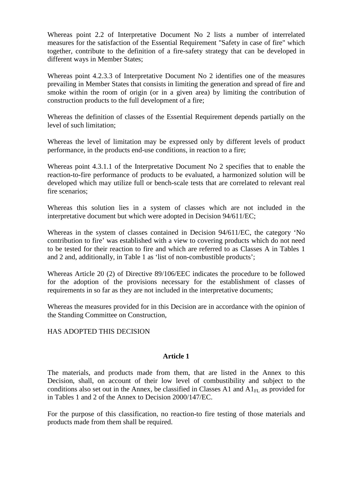Whereas point 2.2 of Interpretative Document No 2 lists a number of interrelated measures for the satisfaction of the Essential Requirement "Safety in case of fire" which together, contribute to the definition of a fire-safety strategy that can be developed in different ways in Member States;

Whereas point 4.2.3.3 of Interpretative Document No 2 identifies one of the measures prevailing in Member States that consists in limiting the generation and spread of fire and smoke within the room of origin (or in a given area) by limiting the contribution of construction products to the full development of a fire;

Whereas the definition of classes of the Essential Requirement depends partially on the level of such limitation;

Whereas the level of limitation may be expressed only by different levels of product performance, in the products end-use conditions, in reaction to a fire;

Whereas point 4.3.1.1 of the Interpretative Document No 2 specifies that to enable the reaction-to-fire performance of products to be evaluated, a harmonized solution will be developed which may utilize full or bench-scale tests that are correlated to relevant real fire scenarios;

Whereas this solution lies in a system of classes which are not included in the interpretative document but which were adopted in Decision 94/611/EC;

Whereas in the system of classes contained in Decision 94/611/EC, the category 'No contribution to fire' was established with a view to covering products which do not need to be tested for their reaction to fire and which are referred to as Classes A in Tables 1 and 2 and, additionally, in Table 1 as 'list of non-combustible products';

Whereas Article 20 (2) of Directive 89/106/EEC indicates the procedure to be followed for the adoption of the provisions necessary for the establishment of classes of requirements in so far as they are not included in the interpretative documents;

Whereas the measures provided for in this Decision are in accordance with the opinion of the Standing Committee on Construction,

## HAS ADOPTED THIS DECISION

### **Article 1**

The materials, and products made from them, that are listed in the Annex to this Decision, shall, on account of their low level of combustibility and subject to the conditions also set out in the Annex, be classified in Classes A1 and  $AI<sub>FL</sub>$  as provided for in Tables 1 and 2 of the Annex to Decision 2000/147/EC.

For the purpose of this classification, no reaction-to fire testing of those materials and products made from them shall be required.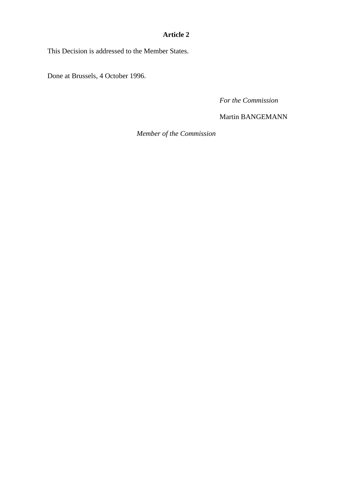# **Article 2**

This Decision is addressed to the Member States.

Done at Brussels, 4 October 1996.

*For the Commission*

Martin BANGEMANN

*Member of the Commission*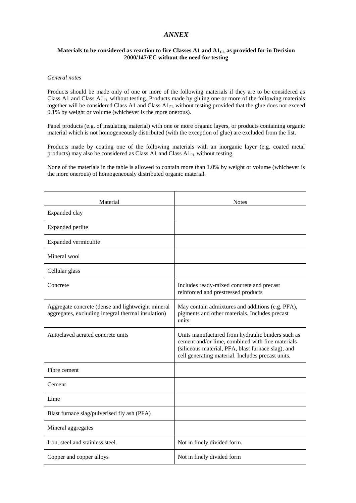### *ANNEX*

#### Materials to be considered as reaction to fire Classes A1 and  $AI$ <sub>FL</sub> as provided for in Decision **2000/147/EC without the need for testing**

#### *General notes*

Products should be made only of one or more of the following materials if they are to be considered as Class A1 and Class  $A1_{FL}$  without testing. Products made by gluing one or more of the following materials together will be considered Class A1 and Class  $A1_{FL}$  without testing provided that the glue does not exceed 0.1% by weight or volume (whichever is the more onerous).

Panel products (e.g. of insulating material) with one or more organic layers, or products containing organic material which is not homogeneously distributed (with the exception of glue) are excluded from the list.

Products made by coating one of the following materials with an inorganic layer (e.g. coated metal products) may also be considered as Class A1 and Class  $A1_{FL}$  without testing.

None of the materials in the table is allowed to contain more than 1.0% by weight or volume (whichever is the more onerous) of homogeneously distributed organic material.

| Material                                                                                                | <b>Notes</b>                                                                                                                                                                                                     |
|---------------------------------------------------------------------------------------------------------|------------------------------------------------------------------------------------------------------------------------------------------------------------------------------------------------------------------|
| Expanded clay                                                                                           |                                                                                                                                                                                                                  |
| Expanded perlite                                                                                        |                                                                                                                                                                                                                  |
| Expanded vermiculite                                                                                    |                                                                                                                                                                                                                  |
| Mineral wool                                                                                            |                                                                                                                                                                                                                  |
| Cellular glass                                                                                          |                                                                                                                                                                                                                  |
| Concrete                                                                                                | Includes ready-mixed concrete and precast<br>reinforced and prestressed products                                                                                                                                 |
| Aggregate concrete (dense and lightweight mineral<br>aggregates, excluding integral thermal insulation) | May contain admixtures and additions (e.g. PFA),<br>pigments and other materials. Includes precast<br>units.                                                                                                     |
| Autoclaved aerated concrete units                                                                       | Units manufactured from hydraulic binders such as<br>cement and/or lime, combined with fine materials<br>(siliceous material, PFA, blast furnace slag), and<br>cell generating material. Includes precast units. |
| Fibre cement                                                                                            |                                                                                                                                                                                                                  |
| Cement                                                                                                  |                                                                                                                                                                                                                  |
| Lime                                                                                                    |                                                                                                                                                                                                                  |
| Blast furnace slag/pulverised fly ash (PFA)                                                             |                                                                                                                                                                                                                  |
| Mineral aggregates                                                                                      |                                                                                                                                                                                                                  |
| Iron, steel and stainless steel.                                                                        | Not in finely divided form.                                                                                                                                                                                      |
| Copper and copper alloys                                                                                | Not in finely divided form                                                                                                                                                                                       |